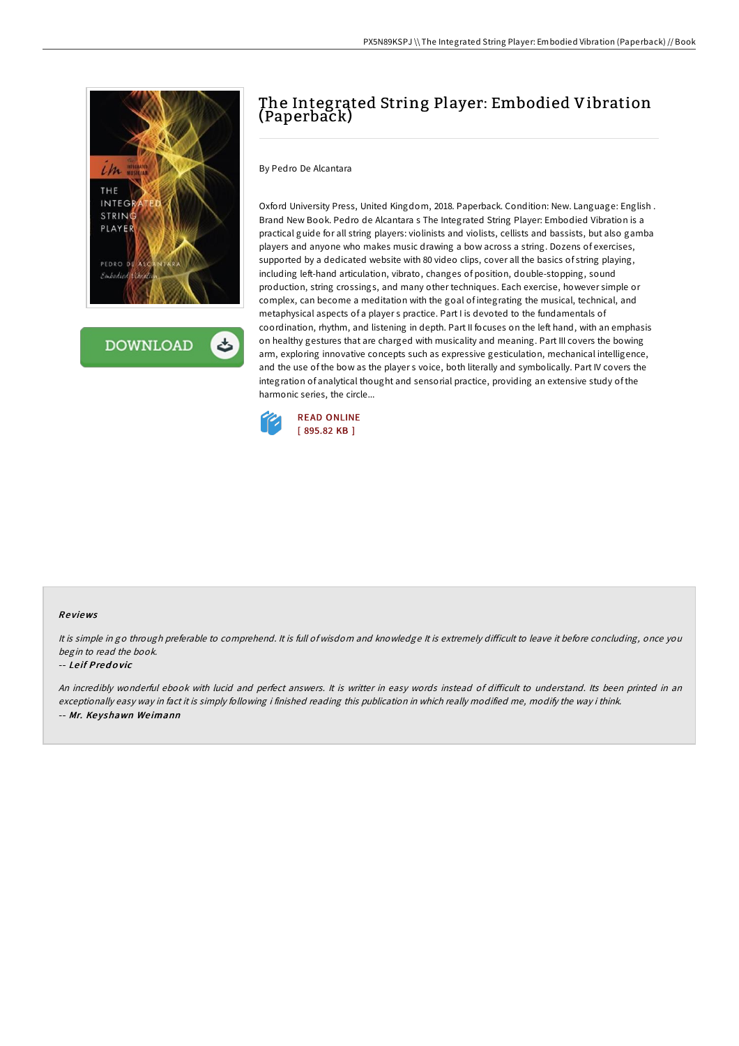

**DOWNLOAD** ٹ

# The Integrated String Player: Embodied Vibration (Paperback)

By Pedro De Alcantara

Oxford University Press, United Kingdom, 2018. Paperback. Condition: New. Language: English . Brand New Book. Pedro de Alcantara s The Integrated String Player: Embodied Vibration is a practical guide for all string players: violinists and violists, cellists and bassists, but also gamba players and anyone who makes music drawing a bow across a string. Dozens of exercises, supported by a dedicated website with 80 video clips, cover all the basics of string playing, including left-hand articulation, vibrato, changes of position, double-stopping, sound production, string crossings, and many other techniques. Each exercise, however simple or complex, can become a meditation with the goal of integrating the musical, technical, and metaphysical aspects of a player s practice. Part I is devoted to the fundamentals of coordination, rhythm, and listening in depth. Part II focuses on the left hand, with an emphasis on healthy gestures that are charged with musicality and meaning. Part III covers the bowing arm, exploring innovative concepts such as expressive gesticulation, mechanical intelligence, and the use of the bow as the player s voice, both literally and symbolically. Part IV covers the integration of analytical thought and sensorial practice, providing an extensive study of the harmonic series, the circle...



### Re views

It is simple in go through preferable to comprehend. It is full of wisdom and knowledge It is extremely difficult to leave it before concluding, once you begin to read the book.

#### -- Le if Pred <sup>o</sup> vic

An incredibly wonderful ebook with lucid and perfect answers. It is writter in easy words instead of difficult to understand. Its been printed in an exceptionally easy way in fact it is simply following i finished reading this publication in which really modified me, modify the way i think. -- Mr. Ke yshawn We imann